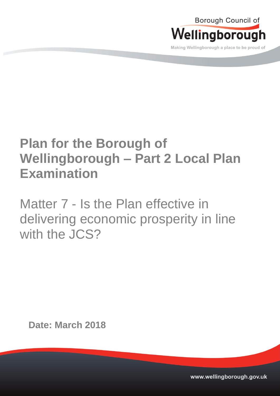

Making Wellingborough a place to be proud of

# **Plan for the Borough of Wellingborough – Part 2 Local Plan Examination**

Matter 7 - Is the Plan effective in delivering economic prosperity in line with the **JCS?** 

**Date: March 2018**

www.wellingborough.gov.uk Tel: 01933 22977 DX 12977 DX 12977 DX 12977 DX 12877 DX 12877 WWW.wellingborough.gov.uk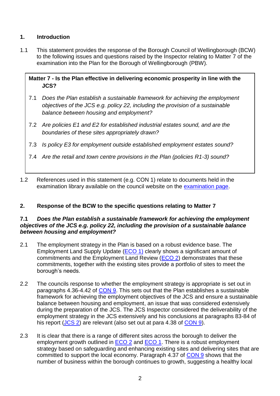# **1. Introduction**

1.1 This statement provides the response of the Borough Council of Wellingborough (BCW) to the following issues and questions raised by the Inspector relating to Matter 7 of the examination into the Plan for the Borough of Wellingborough (PBW).

**Matter 7 - Is the Plan effective in delivering economic prosperity in line with the JCS?**

- 7.1 *Does the Plan establish a sustainable framework for achieving the employment objectives of the JCS e.g. policy 22, including the provision of a sustainable balance between housing and employment?*
- 7.2 *Are policies E1 and E2 for established industrial estates sound, and are the boundaries of these sites appropriately drawn?*
- 7.3 *Is policy E3 for employment outside established employment estates sound?*
- 7.4 *Are the retail and town centre provisions in the Plan (policies R1-3) sound?*
- 1.2 References used in this statement (e.g. CON 1) relate to documents held in the examination library available on the council website on the [examination page.](http://www.wellingborough.gov.uk/info/1004/planning_policy/1388/plan_for_the_borough_of_wellingborough_examination)

# **2. Response of the BCW to the specific questions relating to Matter 7**

#### **7.1** *Does the Plan establish a sustainable framework for achieving the employment objectives of the JCS e.g. policy 22, including the provision of a sustainable balance between housing and employment?*

- 2.1 The employment strategy in the Plan is based on a robust evidence base. The Employment Land Supply Update [\(ECO 1\)](http://www.wellingborough.gov.uk/downloads/download/2799/plan_for_the_borough_of_wellingborough_employment_land_supply_update-_september_2017) clearly shows a significant amount of commitments and the Employment Land Review [\(ECO 2\)](http://www.wellingborough.gov.uk/downloads/file/7027/employment_land_review_background_paper_-_april_2016) demonstrates that these commitments, together with the existing sites provide a portfolio of sites to meet the borough's needs.
- 2.2 The councils response to whether the employment strategy is appropriate is set out in paragraphs 4.36-4.42 of [CON 9.](http://www.wellingborough.gov.uk/downloads/download/2849/consideration_of_main_issues_raised_by_representations_to_the_publication_plan) This sets out that the Plan establishes a sustainable framework for achieving the employment objectives of the JCS and ensure a sustainable balance between housing and employment, an issue that was considered extensively during the preparation of the JCS. The JCS Inspector considered the deliverability of the employment strategy in the JCS extensively and his conclusions at paragraphs 83-84 of his report [\(JCS 2\)](http://www.nnjpu.org.uk/publications/docdetail.asp?docid=1565) are relevant (also set out at para 4.38 of [CON 9\)](http://www.wellingborough.gov.uk/downloads/download/2849/consideration_of_main_issues_raised_by_representations_to_the_publication_plan).
- 2.3 It is clear that there is a range of different sites across the borough to deliver the employment growth outlined in [ECO 2](http://www.wellingborough.gov.uk/downloads/file/7027/employment_land_review_background_paper_-_april_2016) and [ECO 1.](http://www.wellingborough.gov.uk/downloads/download/2799/plan_for_the_borough_of_wellingborough_employment_land_supply_update-_september_2017) There is a robust employment strategy based on safeguarding and enhancing existing sites and delivering sites that are committed to support the local economy. Paragraph 4.37 of [CON 9](http://www.wellingborough.gov.uk/downloads/download/2849/consideration_of_main_issues_raised_by_representations_to_the_publication_plan) shows that the number of business within the borough continues to growth, suggesting a healthy local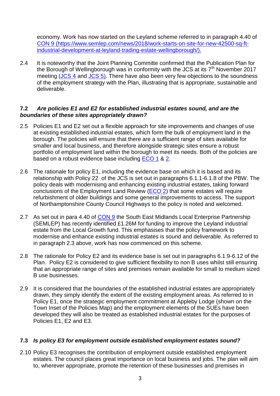economy. Work has now started on the Leyland scheme referred to in paragraph 4.40 of [CON 9](http://www.wellingborough.gov.uk/downloads/download/2849/consideration_of_main_issues_raised_by_representations_to_the_publication_plan) [\(https://www.semlep.com/news/2018/work-starts-on-site-for-new-42500-sq-ft](https://www.semlep.com/news/2018/work-starts-on-site-for-new-42500-sq-ft-industrial-development-at-leyland-trading-estate-wellingborough/)[industrial-development-at-leyland-trading-estate-wellingborough/\)](https://www.semlep.com/news/2018/work-starts-on-site-for-new-42500-sq-ft-industrial-development-at-leyland-trading-estate-wellingborough/).

2.4 It is noteworthy that the Joint Planning Committe confirmed that the Publication Plan for the Borough of Wellingborough was in conformity with the JCS at its  $7<sup>th</sup>$  November 2017 meeting [\(JCS 4](https://cmis.northamptonshire.gov.uk/cmis5live/Document.ashx?czJKcaeAi5tUFL1DTL2UE4zNRBcoShgo=xfVc4TBOW7yfZjpaREJ7%2fpdnUiH1S1a1aXI7DUIRagBgniCCxoPaLA%3d%3d&rUzwRPf%2bZ3zd4E7Ikn8Lyw%3d%3d=pwRE6AGJFLDNlh225F5QMaQWCtPHwdhUfCZ%2fLUQzgA2uL5jNRG4jdQ%3d%3d&mCTIbCubSFfXsDGW9IXnlg%3d%3d=hFflUdN3100%3d&kCx1AnS9%2fpWZQ40DXFvdEw%3d%3d=hFflUdN3100%3d&uJovDxwdjMPoYv%2bAJvYtyA%3d%3d=ctNJFf55vVA%3d&FgPlIEJYlotS%2bYGoBi5olA%3d%3d=NHdURQburHA%3d&d9Qjj0ag1Pd993jsyOJqFvmyB7X0CSQK=ctNJFf55vVA%3d&WGewmoAfeNR9xqBux0r1Q8Za60lavYmz=ctNJFf55vVA%3d&WGewmoAfeNQ16B2MHuCpMRKZMwaG1PaO=ctNJFf55vVA%3d) and [JCS 5\)](https://cmis.northamptonshire.gov.uk/cmis5live/Document.ashx?czJKcaeAi5tUFL1DTL2UE4zNRBcoShgo=kpgKL8au%2f%2fSgRE0oVsfHPS0vl9%2bfSqil85RjGhij%2bJjmfhdp7JvXSg%3d%3d&rUzwRPf%2bZ3zd4E7Ikn8Lyw%3d%3d=pwRE6AGJFLDNlh225F5QMaQWCtPHwdhUfCZ%2fLUQzgA2uL5jNRG4jdQ%3d%3d&mCTIbCubSFfXsDGW9IXnlg%3d%3d=hFflUdN3100%3d&kCx1AnS9%2fpWZQ40DXFvdEw%3d%3d=hFflUdN3100%3d&uJovDxwdjMPoYv%2bAJvYtyA%3d%3d=ctNJFf55vVA%3d&FgPlIEJYlotS%2bYGoBi5olA%3d%3d=NHdURQburHA%3d&d9Qjj0ag1Pd993jsyOJqFvmyB7X0CSQK=ctNJFf55vVA%3d&WGewmoAfeNR9xqBux0r1Q8Za60lavYmz=ctNJFf55vVA%3d&WGewmoAfeNQ16B2MHuCpMRKZMwaG1PaO=ctNJFf55vVA%3d). There have also been very few objections to the soundness of the employment strategy with the Plan, illustrating that is appropriate, sustainable and deliverable.

### **7.2** *Are policies E1 and E2 for established industrial estates sound, and are the boundaries of these sites appropriately drawn?*

- 2.5 Policies E1 and E2 set out a flexible approach for site improvements and changes of use at existing established industrial estates, which form the bulk of employment land in the borough. The policies will ensure that there are a sufficient range of sites available for smaller and local business, and therefore alongside strategic sites ensure a robust portfolio of employment land within the borough to meet its needs. Both of the policies are based on a robust evidence base including [ECO](http://www.wellingborough.gov.uk/downloads/download/2799/plan_for_the_borough_of_wellingborough_employment_land_supply_update-_september_2017) 1 & [2.](http://www.wellingborough.gov.uk/downloads/file/7027/employment_land_review_background_paper_-_april_2016)
- 2.6 The rationale for policy E1, including the evidence base on which it is based and its relationship with Policy 22 of the JCS is set out in paragraphs 6.1.1-6.1.8 of the PBW. The policy deals with modernising and enhancing existing industrial estates, taking forward conclusions of the Employment Land Review [\(ECO 2\)](http://www.wellingborough.gov.uk/downloads/file/7027/employment_land_review_background_paper_-_april_2016) that some estates will require refurbishment of older buildings and some general improvements to access. The support of Northamptonshire County Council Highways to the policy is noted and welcomed.
- 2.7 As set out in para 4.40 of [CON 9](https://www.gov.uk/government/consultations/draft-revised-national-planning-policy-frameworkhttp:/www.wellingborough.gov.uk/downloads/download/2849/consideration_of_main_issues_raised_by_representations_to_the_publication_plan) the South East Midlands Local Enterprise Partnership (SEMLEP) has recently identified £1.26M for funding to improve the Leyland industrial estate from the Local Growth fund. This emphasises that the policy framework to modernise and enhance existing industrial estates is sound and deliverable. As referred to in paragraph 2.3 above, work has now commenced on this scheme.
- 2.8 The rationale for Policy E2 and its evidence base is set out in paragraphs 6.1.9-6.12 of the Plan. Policy E2 is considered to give sufficient flexibility to non B uses whilst still ensuring that an appropriate range of sites and premises remain available for small to medium sized B use businesses.
- 2.9 It is considered that the boundaries of the established industrial estates are appropriately drawn, they simply identify the extent of the existing employment areas. As referred to in Policy E1, once the strategic employment commitment at Appleby Lodge (shown on the Town Inset of the Policies Map) and the employment elements of the SUEs have been developed they will also be treated as established industrial estates for the purposes of Policies E1, E2 and E3.

## **7.3** *Is policy E3 for employment outside established employment estates sound?*

2.10 Policy E3 recognises the contribution of employment outside established employment estates. The council places great importance on local business and jobs. The plan will aim to, wherever appropriate, promote the retention of these businesses and premises in